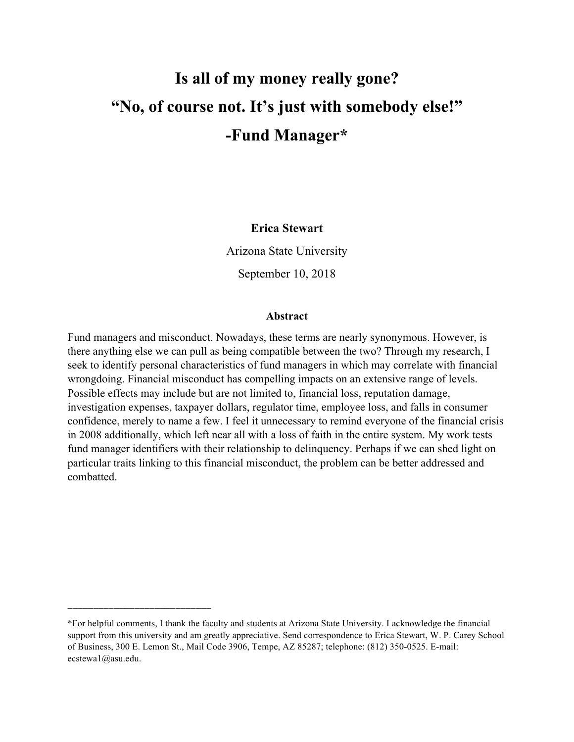# **Is all of my money really gone? "No, of course not. It's just with somebody else!" -Fund Manager\***

# **Erica Stewart**

Arizona State University

September 10, 2018

#### **Abstract**

Fund managers and misconduct. Nowadays, these terms are nearly synonymous. However, is there anything else we can pull as being compatible between the two? Through my research, I seek to identify personal characteristics of fund managers in which may correlate with financial wrongdoing. Financial misconduct has compelling impacts on an extensive range of levels. Possible effects may include but are not limited to, financial loss, reputation damage, investigation expenses, taxpayer dollars, regulator time, employee loss, and falls in consumer confidence, merely to name a few. I feel it unnecessary to remind everyone of the financial crisis in 2008 additionally, which left near all with a loss of faith in the entire system. My work tests fund manager identifiers with their relationship to delinquency. Perhaps if we can shed light on particular traits linking to this financial misconduct, the problem can be better addressed and combatted.

\_\_\_\_\_\_\_\_\_\_\_\_\_\_\_\_\_\_\_\_\_\_\_\_\_\_\_\_

<sup>\*</sup>For helpful comments, I thank the faculty and students at Arizona State University. I acknowledge the financial support from this university and am greatly appreciative. Send correspondence to Erica Stewart, W. P. Carey School of Business, 300 E. Lemon St., Mail Code 3906, Tempe, AZ 85287; telephone: (812) 350-0525. E-mail: ecstewa1@asu.edu.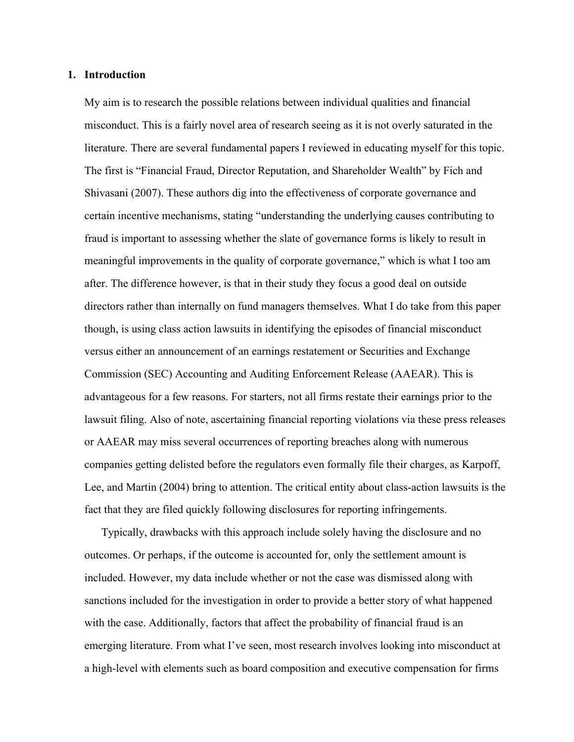#### **1. Introduction**

My aim is to research the possible relations between individual qualities and financial misconduct. This is a fairly novel area of research seeing as it is not overly saturated in the literature. There are several fundamental papers I reviewed in educating myself for this topic. The first is "Financial Fraud, Director Reputation, and Shareholder Wealth" by Fich and Shivasani (2007). These authors dig into the effectiveness of corporate governance and certain incentive mechanisms, stating "understanding the underlying causes contributing to fraud is important to assessing whether the slate of governance forms is likely to result in meaningful improvements in the quality of corporate governance," which is what I too am after. The difference however, is that in their study they focus a good deal on outside directors rather than internally on fund managers themselves. What I do take from this paper though, is using class action lawsuits in identifying the episodes of financial misconduct versus either an announcement of an earnings restatement or Securities and Exchange Commission (SEC) Accounting and Auditing Enforcement Release (AAEAR). This is advantageous for a few reasons. For starters, not all firms restate their earnings prior to the lawsuit filing. Also of note, ascertaining financial reporting violations via these press releases or AAEAR may miss several occurrences of reporting breaches along with numerous companies getting delisted before the regulators even formally file their charges, as Karpoff, Lee, and Martin (2004) bring to attention. The critical entity about class-action lawsuits is the fact that they are filed quickly following disclosures for reporting infringements.

Typically, drawbacks with this approach include solely having the disclosure and no outcomes. Or perhaps, if the outcome is accounted for, only the settlement amount is included. However, my data include whether or not the case was dismissed along with sanctions included for the investigation in order to provide a better story of what happened with the case. Additionally, factors that affect the probability of financial fraud is an emerging literature. From what I've seen, most research involves looking into misconduct at a high-level with elements such as board composition and executive compensation for firms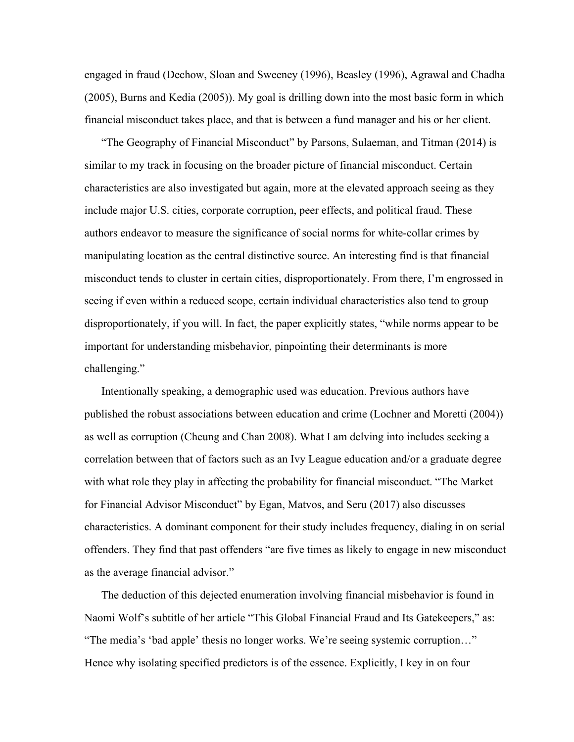engaged in fraud (Dechow, Sloan and Sweeney (1996), Beasley (1996), Agrawal and Chadha (2005), Burns and Kedia (2005)). My goal is drilling down into the most basic form in which financial misconduct takes place, and that is between a fund manager and his or her client.

"The Geography of Financial Misconduct" by Parsons, Sulaeman, and Titman (2014) is similar to my track in focusing on the broader picture of financial misconduct. Certain characteristics are also investigated but again, more at the elevated approach seeing as they include major U.S. cities, corporate corruption, peer effects, and political fraud. These authors endeavor to measure the significance of social norms for white-collar crimes by manipulating location as the central distinctive source. An interesting find is that financial misconduct tends to cluster in certain cities, disproportionately. From there, I'm engrossed in seeing if even within a reduced scope, certain individual characteristics also tend to group disproportionately, if you will. In fact, the paper explicitly states, "while norms appear to be important for understanding misbehavior, pinpointing their determinants is more challenging."

Intentionally speaking, a demographic used was education. Previous authors have published the robust associations between education and crime (Lochner and Moretti (2004)) as well as corruption (Cheung and Chan 2008). What I am delving into includes seeking a correlation between that of factors such as an Ivy League education and/or a graduate degree with what role they play in affecting the probability for financial misconduct. "The Market for Financial Advisor Misconduct" by Egan, Matvos, and Seru (2017) also discusses characteristics. A dominant component for their study includes frequency, dialing in on serial offenders. They find that past offenders "are five times as likely to engage in new misconduct as the average financial advisor."

The deduction of this dejected enumeration involving financial misbehavior is found in Naomi Wolf's subtitle of her article "This Global Financial Fraud and Its Gatekeepers," as: "The media's 'bad apple' thesis no longer works. We're seeing systemic corruption…" Hence why isolating specified predictors is of the essence. Explicitly, I key in on four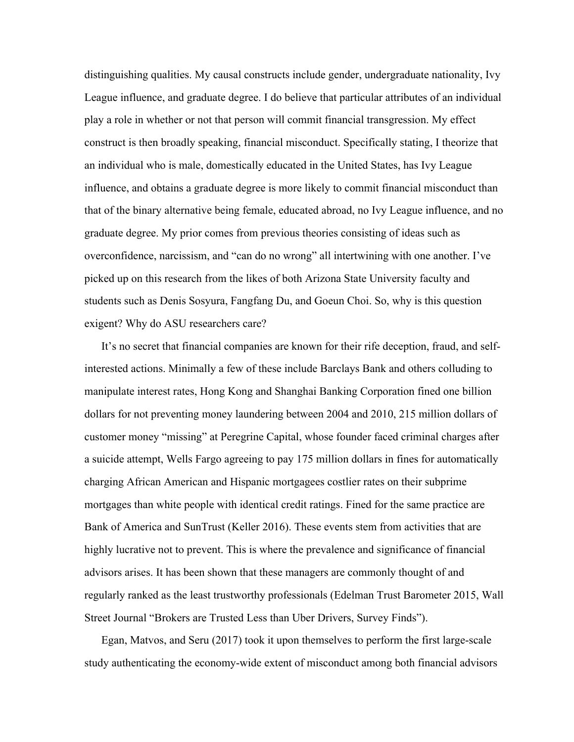distinguishing qualities. My causal constructs include gender, undergraduate nationality, Ivy League influence, and graduate degree. I do believe that particular attributes of an individual play a role in whether or not that person will commit financial transgression. My effect construct is then broadly speaking, financial misconduct. Specifically stating, I theorize that an individual who is male, domestically educated in the United States, has Ivy League influence, and obtains a graduate degree is more likely to commit financial misconduct than that of the binary alternative being female, educated abroad, no Ivy League influence, and no graduate degree. My prior comes from previous theories consisting of ideas such as overconfidence, narcissism, and "can do no wrong" all intertwining with one another. I've picked up on this research from the likes of both Arizona State University faculty and students such as Denis Sosyura, Fangfang Du, and Goeun Choi. So, why is this question exigent? Why do ASU researchers care?

It's no secret that financial companies are known for their rife deception, fraud, and selfinterested actions. Minimally a few of these include Barclays Bank and others colluding to manipulate interest rates, Hong Kong and Shanghai Banking Corporation fined one billion dollars for not preventing money laundering between 2004 and 2010, 215 million dollars of customer money "missing" at Peregrine Capital, whose founder faced criminal charges after a suicide attempt, Wells Fargo agreeing to pay 175 million dollars in fines for automatically charging African American and Hispanic mortgagees costlier rates on their subprime mortgages than white people with identical credit ratings. Fined for the same practice are Bank of America and SunTrust (Keller 2016). These events stem from activities that are highly lucrative not to prevent. This is where the prevalence and significance of financial advisors arises. It has been shown that these managers are commonly thought of and regularly ranked as the least trustworthy professionals (Edelman Trust Barometer 2015, Wall Street Journal "Brokers are Trusted Less than Uber Drivers, Survey Finds").

Egan, Matvos, and Seru (2017) took it upon themselves to perform the first large-scale study authenticating the economy-wide extent of misconduct among both financial advisors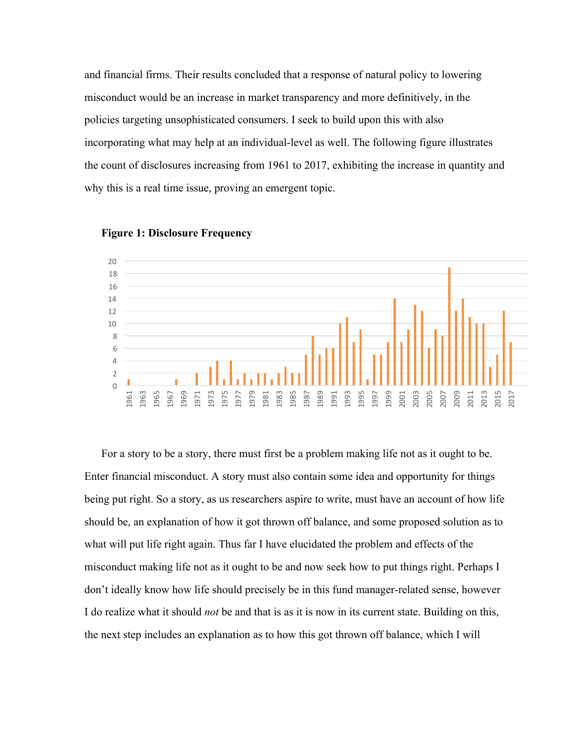and financial firms. Their results concluded that a response of natural policy to lowering misconduct would be an increase in market transparency and more definitively, in the policies targeting unsophisticated consumers. I seek to build upon this with also incorporating what may help at an individual-level as well. The following figure illustrates the count of disclosures increasing from 1961 to 2017, exhibiting the increase in quantity and why this is a real time issue, proving an emergent topic.





For a story to be a story, there must first be a problem making life not as it ought to be. Enter financial misconduct. A story must also contain some idea and opportunity for things being put right. So a story, as us researchers aspire to write, must have an account of how life should be, an explanation of how it got thrown off balance, and some proposed solution as to what will put life right again. Thus far I have elucidated the problem and effects of the misconduct making life not as it ought to be and now seek how to put things right. Perhaps I don't ideally know how life should precisely be in this fund manager-related sense, however I do realize what it should *not* be and that is as it is now in its current state. Building on this, the next step includes an explanation as to how this got thrown off balance, which I will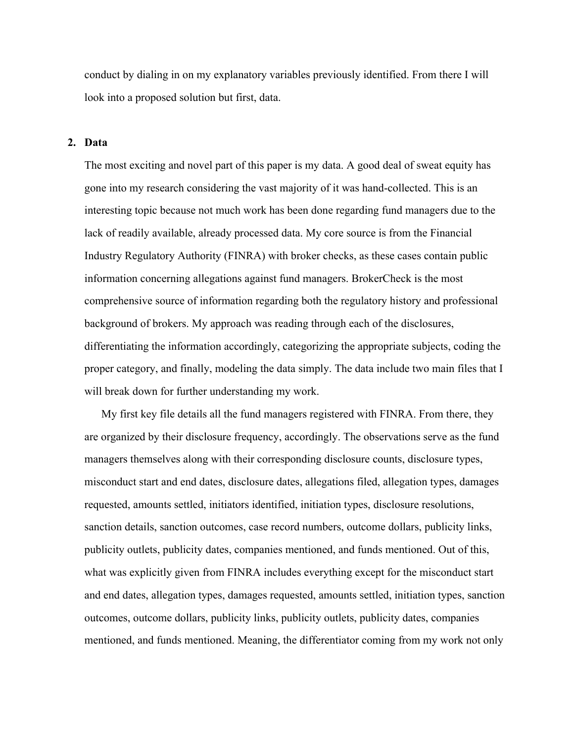conduct by dialing in on my explanatory variables previously identified. From there I will look into a proposed solution but first, data.

#### **2. Data**

The most exciting and novel part of this paper is my data. A good deal of sweat equity has gone into my research considering the vast majority of it was hand-collected. This is an interesting topic because not much work has been done regarding fund managers due to the lack of readily available, already processed data. My core source is from the Financial Industry Regulatory Authority (FINRA) with broker checks, as these cases contain public information concerning allegations against fund managers. BrokerCheck is the most comprehensive source of information regarding both the regulatory history and professional background of brokers. My approach was reading through each of the disclosures, differentiating the information accordingly, categorizing the appropriate subjects, coding the proper category, and finally, modeling the data simply. The data include two main files that I will break down for further understanding my work.

My first key file details all the fund managers registered with FINRA. From there, they are organized by their disclosure frequency, accordingly. The observations serve as the fund managers themselves along with their corresponding disclosure counts, disclosure types, misconduct start and end dates, disclosure dates, allegations filed, allegation types, damages requested, amounts settled, initiators identified, initiation types, disclosure resolutions, sanction details, sanction outcomes, case record numbers, outcome dollars, publicity links, publicity outlets, publicity dates, companies mentioned, and funds mentioned. Out of this, what was explicitly given from FINRA includes everything except for the misconduct start and end dates, allegation types, damages requested, amounts settled, initiation types, sanction outcomes, outcome dollars, publicity links, publicity outlets, publicity dates, companies mentioned, and funds mentioned. Meaning, the differentiator coming from my work not only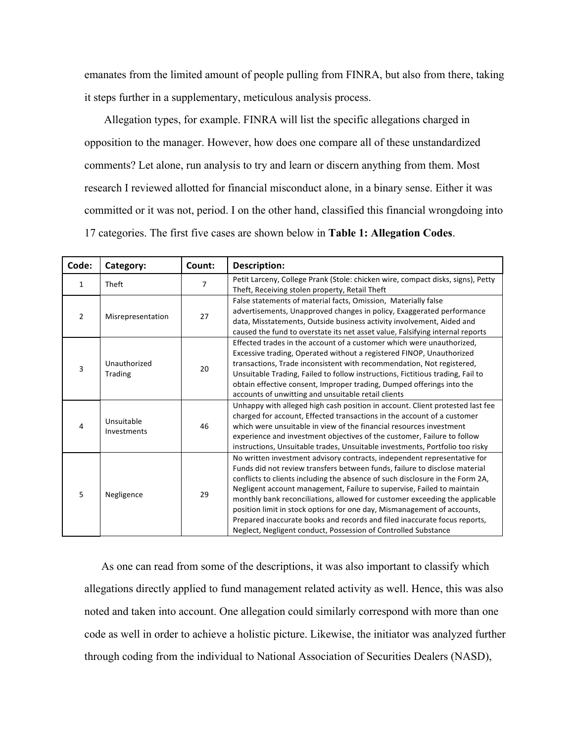emanates from the limited amount of people pulling from FINRA, but also from there, taking it steps further in a supplementary, meticulous analysis process.

Allegation types, for example. FINRA will list the specific allegations charged in opposition to the manager. However, how does one compare all of these unstandardized comments? Let alone, run analysis to try and learn or discern anything from them. Most research I reviewed allotted for financial misconduct alone, in a binary sense. Either it was committed or it was not, period. I on the other hand, classified this financial wrongdoing into 17 categories. The first five cases are shown below in **Table 1: Allegation Codes**.

| Code:        | Category:                 | Count: | <b>Description:</b>                                                                                                                                                                                                                                                                                                                                                                                                                                                                                                                                                                                                        |  |
|--------------|---------------------------|--------|----------------------------------------------------------------------------------------------------------------------------------------------------------------------------------------------------------------------------------------------------------------------------------------------------------------------------------------------------------------------------------------------------------------------------------------------------------------------------------------------------------------------------------------------------------------------------------------------------------------------------|--|
| $\mathbf{1}$ | Theft                     | 7      | Petit Larceny, College Prank (Stole: chicken wire, compact disks, signs), Petty<br>Theft, Receiving stolen property, Retail Theft                                                                                                                                                                                                                                                                                                                                                                                                                                                                                          |  |
| 2            | Misrepresentation         | 27     | False statements of material facts, Omission, Materially false<br>advertisements, Unapproved changes in policy, Exaggerated performance<br>data, Misstatements, Outside business activity involvement, Aided and<br>caused the fund to overstate its net asset value, Falsifying internal reports                                                                                                                                                                                                                                                                                                                          |  |
| 3            | Unauthorized<br>Trading   | 20     | Effected trades in the account of a customer which were unauthorized,<br>Excessive trading, Operated without a registered FINOP, Unauthorized<br>transactions, Trade inconsistent with recommendation, Not registered,<br>Unsuitable Trading, Failed to follow instructions, Fictitious trading, Fail to<br>obtain effective consent, Improper trading, Dumped offerings into the<br>accounts of unwitting and unsuitable retail clients                                                                                                                                                                                   |  |
| 4            | Unsuitable<br>Investments | 46     | Unhappy with alleged high cash position in account. Client protested last fee<br>charged for account, Effected transactions in the account of a customer<br>which were unsuitable in view of the financial resources investment<br>experience and investment objectives of the customer, Failure to follow<br>instructions, Unsuitable trades, Unsuitable investments, Portfolio too risky                                                                                                                                                                                                                                 |  |
| 5            | Negligence                | 29     | No written investment advisory contracts, independent representative for<br>Funds did not review transfers between funds, failure to disclose material<br>conflicts to clients including the absence of such disclosure in the Form 2A,<br>Negligent account management, Failure to supervise, Failed to maintain<br>monthly bank reconciliations, allowed for customer exceeding the applicable<br>position limit in stock options for one day, Mismanagement of accounts,<br>Prepared inaccurate books and records and filed inaccurate focus reports,<br>Neglect, Negligent conduct, Possession of Controlled Substance |  |

As one can read from some of the descriptions, it was also important to classify which allegations directly applied to fund management related activity as well. Hence, this was also noted and taken into account. One allegation could similarly correspond with more than one code as well in order to achieve a holistic picture. Likewise, the initiator was analyzed further through coding from the individual to National Association of Securities Dealers (NASD),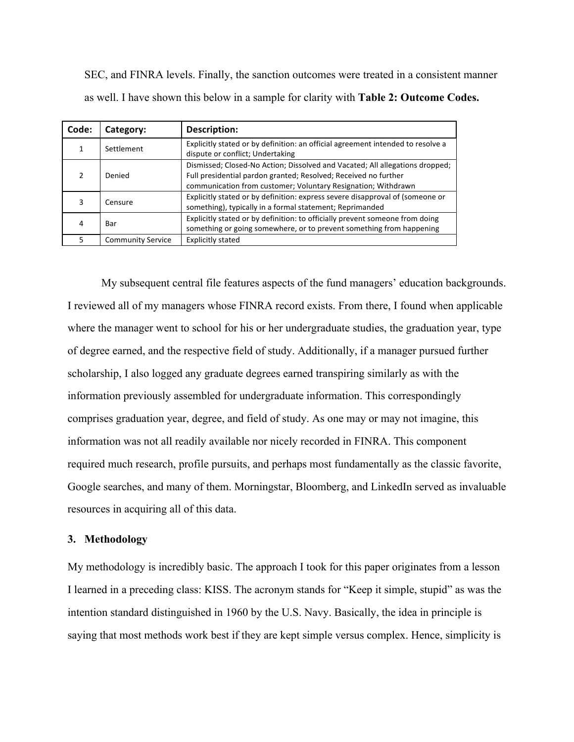SEC, and FINRA levels. Finally, the sanction outcomes were treated in a consistent manner as well. I have shown this below in a sample for clarity with **Table 2: Outcome Codes.**

| Code: | Category:                | Description:                                                                                                                                                                                                     |
|-------|--------------------------|------------------------------------------------------------------------------------------------------------------------------------------------------------------------------------------------------------------|
|       | Settlement               | Explicitly stated or by definition: an official agreement intended to resolve a<br>dispute or conflict; Undertaking                                                                                              |
|       | Denied                   | Dismissed; Closed-No Action; Dissolved and Vacated; All allegations dropped;<br>Full presidential pardon granted; Resolved; Received no further<br>communication from customer; Voluntary Resignation; Withdrawn |
|       | Censure                  | Explicitly stated or by definition: express severe disapproval of (someone or<br>something), typically in a formal statement; Reprimanded                                                                        |
|       | Bar                      | Explicitly stated or by definition: to officially prevent someone from doing<br>something or going somewhere, or to prevent something from happening                                                             |
|       | <b>Community Service</b> | <b>Explicitly stated</b>                                                                                                                                                                                         |

My subsequent central file features aspects of the fund managers' education backgrounds. I reviewed all of my managers whose FINRA record exists. From there, I found when applicable where the manager went to school for his or her undergraduate studies, the graduation year, type of degree earned, and the respective field of study. Additionally, if a manager pursued further scholarship, I also logged any graduate degrees earned transpiring similarly as with the information previously assembled for undergraduate information. This correspondingly comprises graduation year, degree, and field of study. As one may or may not imagine, this information was not all readily available nor nicely recorded in FINRA. This component required much research, profile pursuits, and perhaps most fundamentally as the classic favorite, Google searches, and many of them. Morningstar, Bloomberg, and LinkedIn served as invaluable resources in acquiring all of this data.

# **3. Methodology**

My methodology is incredibly basic. The approach I took for this paper originates from a lesson I learned in a preceding class: KISS. The acronym stands for "Keep it simple, stupid" as was the intention standard distinguished in 1960 by the U.S. Navy. Basically, the idea in principle is saying that most methods work best if they are kept simple versus complex. Hence, simplicity is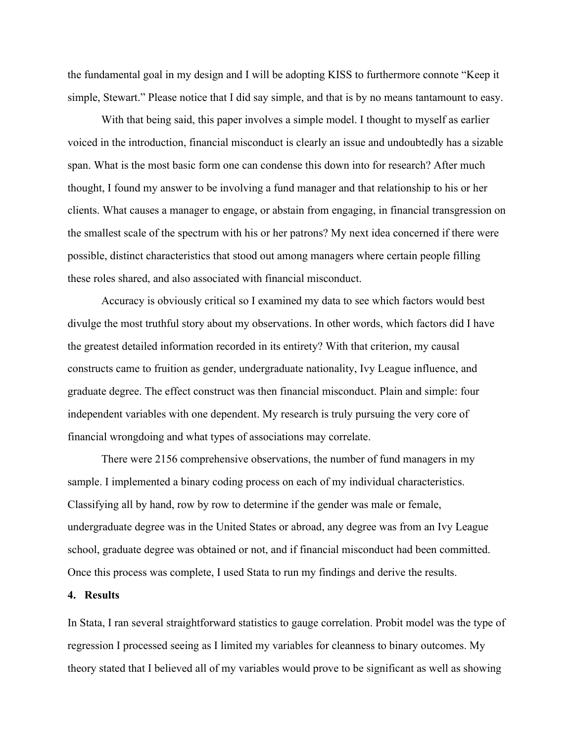the fundamental goal in my design and I will be adopting KISS to furthermore connote "Keep it simple, Stewart." Please notice that I did say simple, and that is by no means tantamount to easy.

With that being said, this paper involves a simple model. I thought to myself as earlier voiced in the introduction, financial misconduct is clearly an issue and undoubtedly has a sizable span. What is the most basic form one can condense this down into for research? After much thought, I found my answer to be involving a fund manager and that relationship to his or her clients. What causes a manager to engage, or abstain from engaging, in financial transgression on the smallest scale of the spectrum with his or her patrons? My next idea concerned if there were possible, distinct characteristics that stood out among managers where certain people filling these roles shared, and also associated with financial misconduct.

Accuracy is obviously critical so I examined my data to see which factors would best divulge the most truthful story about my observations. In other words, which factors did I have the greatest detailed information recorded in its entirety? With that criterion, my causal constructs came to fruition as gender, undergraduate nationality, Ivy League influence, and graduate degree. The effect construct was then financial misconduct. Plain and simple: four independent variables with one dependent. My research is truly pursuing the very core of financial wrongdoing and what types of associations may correlate.

There were 2156 comprehensive observations, the number of fund managers in my sample. I implemented a binary coding process on each of my individual characteristics. Classifying all by hand, row by row to determine if the gender was male or female, undergraduate degree was in the United States or abroad, any degree was from an Ivy League school, graduate degree was obtained or not, and if financial misconduct had been committed. Once this process was complete, I used Stata to run my findings and derive the results.

## **4. Results**

In Stata, I ran several straightforward statistics to gauge correlation. Probit model was the type of regression I processed seeing as I limited my variables for cleanness to binary outcomes. My theory stated that I believed all of my variables would prove to be significant as well as showing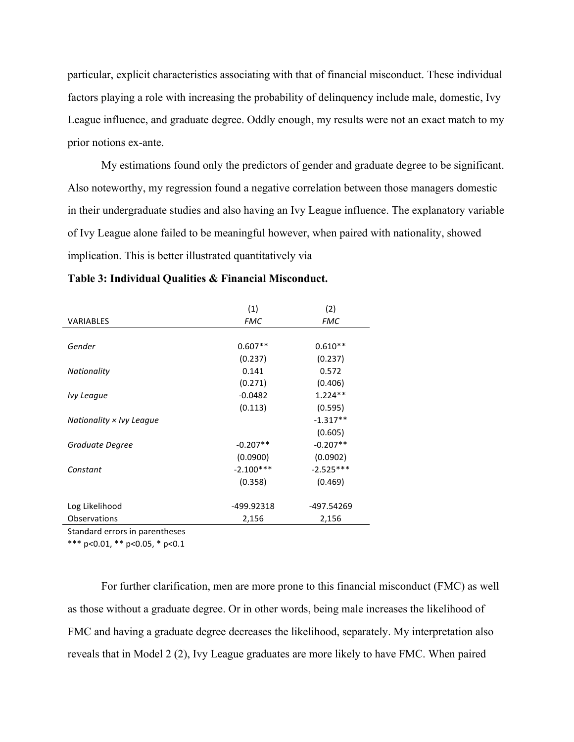particular, explicit characteristics associating with that of financial misconduct. These individual factors playing a role with increasing the probability of delinquency include male, domestic, Ivy League influence, and graduate degree. Oddly enough, my results were not an exact match to my prior notions ex-ante.

My estimations found only the predictors of gender and graduate degree to be significant. Also noteworthy, my regression found a negative correlation between those managers domestic in their undergraduate studies and also having an Ivy League influence. The explanatory variable of Ivy League alone failed to be meaningful however, when paired with nationality, showed implication. This is better illustrated quantitatively via

|                          | (1)         | (2)         |
|--------------------------|-------------|-------------|
| <b>VARIABLES</b>         | <b>FMC</b>  | <b>FMC</b>  |
|                          |             |             |
| Gender                   | $0.607**$   | $0.610**$   |
|                          | (0.237)     | (0.237)     |
| Nationality              | 0.141       | 0.572       |
|                          | (0.271)     | (0.406)     |
| Ivy League               | $-0.0482$   | $1.224**$   |
|                          | (0.113)     | (0.595)     |
| Nationality × Ivy League |             | $-1.317**$  |
|                          |             | (0.605)     |
| Graduate Degree          | $-0.207**$  | $-0.207**$  |
|                          | (0.0900)    | (0.0902)    |
| Constant                 | $-2.100***$ | $-2.525***$ |
|                          | (0.358)     | (0.469)     |
|                          |             |             |
| Log Likelihood           | -499.92318  | -497.54269  |
| <b>Observations</b>      | 2,156       | 2,156       |
|                          |             |             |

**Table 3: Individual Qualities & Financial Misconduct.**

Standard errors in parentheses

\*\*\*  $p<0.01$ , \*\*  $p<0.05$ , \*  $p<0.1$ 

For further clarification, men are more prone to this financial misconduct (FMC) as well as those without a graduate degree. Or in other words, being male increases the likelihood of FMC and having a graduate degree decreases the likelihood, separately. My interpretation also reveals that in Model 2 (2), Ivy League graduates are more likely to have FMC. When paired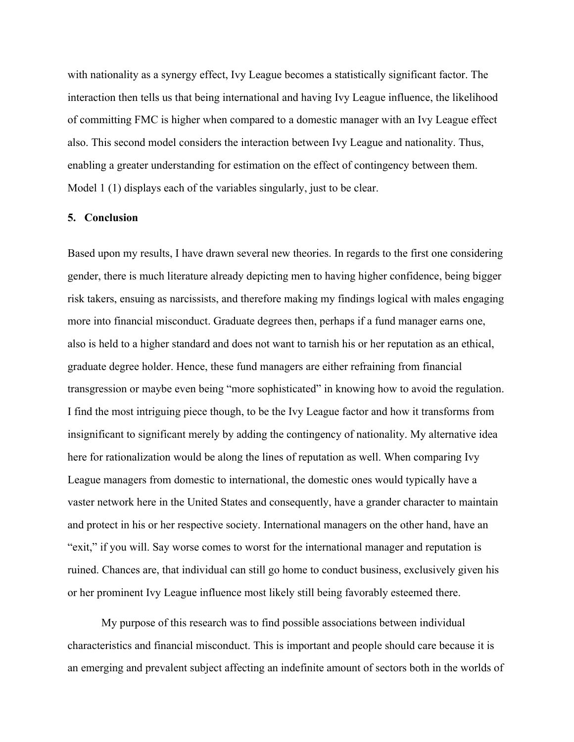with nationality as a synergy effect, Ivy League becomes a statistically significant factor. The interaction then tells us that being international and having Ivy League influence, the likelihood of committing FMC is higher when compared to a domestic manager with an Ivy League effect also. This second model considers the interaction between Ivy League and nationality. Thus, enabling a greater understanding for estimation on the effect of contingency between them. Model 1 (1) displays each of the variables singularly, just to be clear.

# **5. Conclusion**

Based upon my results, I have drawn several new theories. In regards to the first one considering gender, there is much literature already depicting men to having higher confidence, being bigger risk takers, ensuing as narcissists, and therefore making my findings logical with males engaging more into financial misconduct. Graduate degrees then, perhaps if a fund manager earns one, also is held to a higher standard and does not want to tarnish his or her reputation as an ethical, graduate degree holder. Hence, these fund managers are either refraining from financial transgression or maybe even being "more sophisticated" in knowing how to avoid the regulation. I find the most intriguing piece though, to be the Ivy League factor and how it transforms from insignificant to significant merely by adding the contingency of nationality. My alternative idea here for rationalization would be along the lines of reputation as well. When comparing Ivy League managers from domestic to international, the domestic ones would typically have a vaster network here in the United States and consequently, have a grander character to maintain and protect in his or her respective society. International managers on the other hand, have an "exit," if you will. Say worse comes to worst for the international manager and reputation is ruined. Chances are, that individual can still go home to conduct business, exclusively given his or her prominent Ivy League influence most likely still being favorably esteemed there.

My purpose of this research was to find possible associations between individual characteristics and financial misconduct. This is important and people should care because it is an emerging and prevalent subject affecting an indefinite amount of sectors both in the worlds of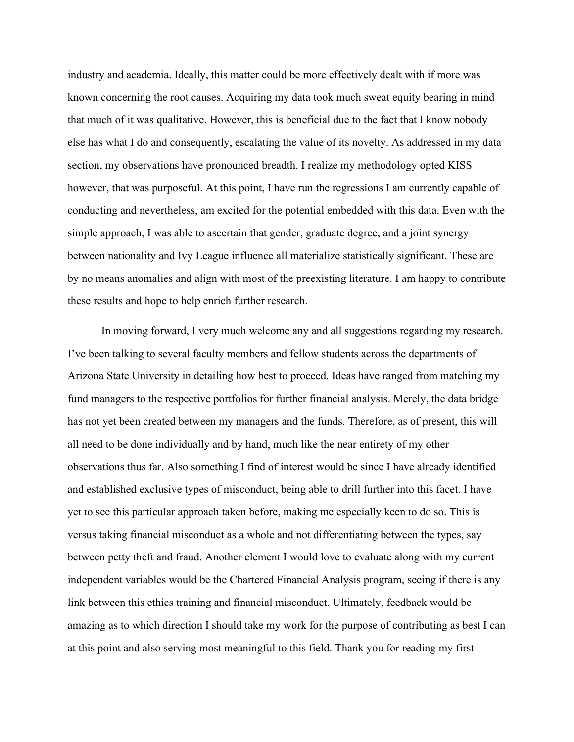industry and academia. Ideally, this matter could be more effectively dealt with if more was known concerning the root causes. Acquiring my data took much sweat equity bearing in mind that much of it was qualitative. However, this is beneficial due to the fact that I know nobody else has what I do and consequently, escalating the value of its novelty. As addressed in my data section, my observations have pronounced breadth. I realize my methodology opted KISS however, that was purposeful. At this point, I have run the regressions I am currently capable of conducting and nevertheless, am excited for the potential embedded with this data. Even with the simple approach, I was able to ascertain that gender, graduate degree, and a joint synergy between nationality and Ivy League influence all materialize statistically significant. These are by no means anomalies and align with most of the preexisting literature. I am happy to contribute these results and hope to help enrich further research.

In moving forward, I very much welcome any and all suggestions regarding my research. I've been talking to several faculty members and fellow students across the departments of Arizona State University in detailing how best to proceed. Ideas have ranged from matching my fund managers to the respective portfolios for further financial analysis. Merely, the data bridge has not yet been created between my managers and the funds. Therefore, as of present, this will all need to be done individually and by hand, much like the near entirety of my other observations thus far. Also something I find of interest would be since I have already identified and established exclusive types of misconduct, being able to drill further into this facet. I have yet to see this particular approach taken before, making me especially keen to do so. This is versus taking financial misconduct as a whole and not differentiating between the types, say between petty theft and fraud. Another element I would love to evaluate along with my current independent variables would be the Chartered Financial Analysis program, seeing if there is any link between this ethics training and financial misconduct. Ultimately, feedback would be amazing as to which direction I should take my work for the purpose of contributing as best I can at this point and also serving most meaningful to this field. Thank you for reading my first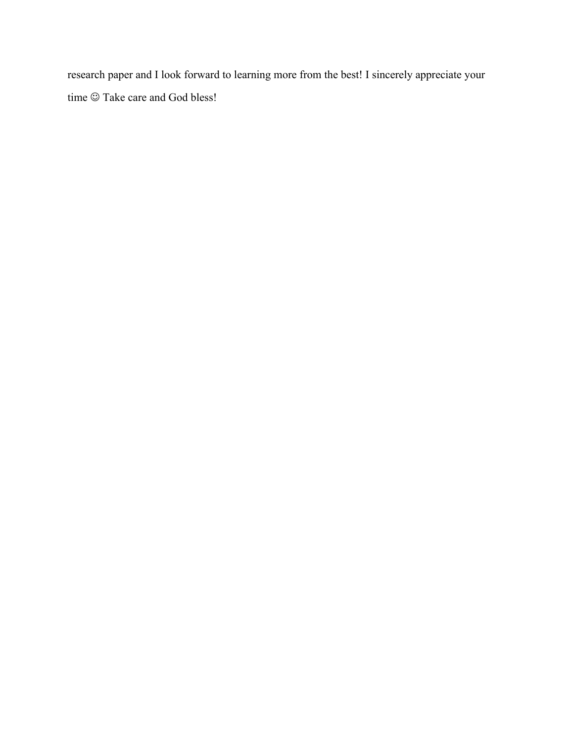research paper and I look forward to learning more from the best! I sincerely appreciate your time  $\odot$  Take care and God bless!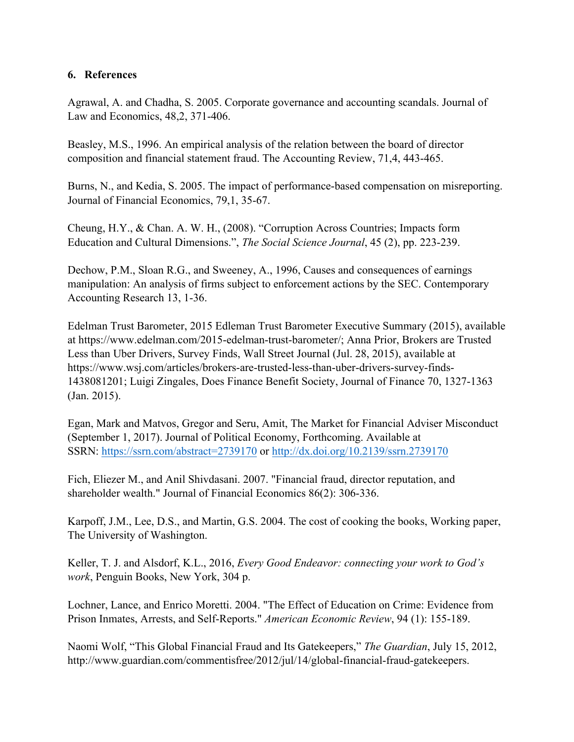# **6. References**

Agrawal, A. and Chadha, S. 2005. Corporate governance and accounting scandals. Journal of Law and Economics, 48,2, 371-406.

Beasley, M.S., 1996. An empirical analysis of the relation between the board of director composition and financial statement fraud. The Accounting Review, 71,4, 443-465.

Burns, N., and Kedia, S. 2005. The impact of performance-based compensation on misreporting. Journal of Financial Economics, 79,1, 35-67.

Cheung, H.Y., & Chan. A. W. H., (2008). "Corruption Across Countries; Impacts form Education and Cultural Dimensions.", *The Social Science Journal*, 45 (2), pp. 223-239.

Dechow, P.M., Sloan R.G., and Sweeney, A., 1996, Causes and consequences of earnings manipulation: An analysis of firms subject to enforcement actions by the SEC. Contemporary Accounting Research 13, 1-36.

Edelman Trust Barometer, 2015 Edleman Trust Barometer Executive Summary (2015), available at https://www.edelman.com/2015-edelman-trust-barometer/; Anna Prior, Brokers are Trusted Less than Uber Drivers, Survey Finds, Wall Street Journal (Jul. 28, 2015), available at https://www.wsj.com/articles/brokers-are-trusted-less-than-uber-drivers-survey-finds-1438081201; Luigi Zingales, Does Finance Benefit Society, Journal of Finance 70, 1327-1363 (Jan. 2015).

Egan, Mark and Matvos, Gregor and Seru, Amit, The Market for Financial Adviser Misconduct (September 1, 2017). Journal of Political Economy, Forthcoming. Available at SSRN: https://ssrn.com/abstract=2739170 or http://dx.doi.org/10.2139/ssrn.2739170

Fich, Eliezer M., and Anil Shivdasani. 2007. "Financial fraud, director reputation, and shareholder wealth." Journal of Financial Economics 86(2): 306-336.

Karpoff, J.M., Lee, D.S., and Martin, G.S. 2004. The cost of cooking the books, Working paper, The University of Washington.

Keller, T. J. and Alsdorf, K.L., 2016, *Every Good Endeavor: connecting your work to God's work*, Penguin Books, New York, 304 p.

Lochner, Lance, and Enrico Moretti. 2004. "The Effect of Education on Crime: Evidence from Prison Inmates, Arrests, and Self-Reports." *American Economic Review*, 94 (1): 155-189.

Naomi Wolf, "This Global Financial Fraud and Its Gatekeepers," *The Guardian*, July 15, 2012, http://www.guardian.com/commentisfree/2012/jul/14/global-financial-fraud-gatekeepers.